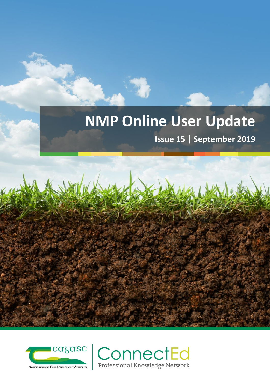# **NMP Online User Update**

**Issue 15 | September 2019**



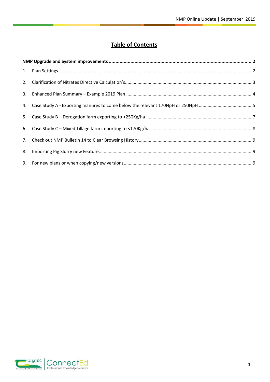# **Table of Contents**

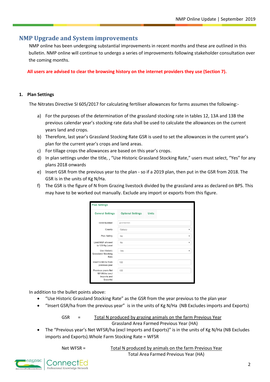# <span id="page-2-0"></span>**NMP Upgrade and System improvements**

NMP online has been undergoing substantial improvements in recent months and these are outlined in this bulletin. NMP online will continue to undergo a series of improvements following stakeholder consultation over the coming months.

**All users are advised to clear the browsing history on the internet providers they use (Section 7).**

#### <span id="page-2-1"></span>**1. Plan Settings**

The Nitrates Directive SI 605/2017 for calculating fertiliser allowances for farms assumes the following:-

- a) For the purposes of the determination of the grassland stocking rate in tables 12, 13A and 13B the previous calendar year's stocking rate data shall be used to calculate the allowances on the current years land and crops.
- b) Therefore, last year's Grassland Stocking Rate GSR is used to set the allowances in the current year's plan for the current year's crops and land areas.
- c) For tillage crops the allowances are based on this year's crops.
- d) In plan settings under the title, , "Use Historic Grassland Stocking Rate," users must select, "Yes" for any plans 2018 onwards
- e) Insert GSR from the previous year to the plan so if a 2019 plan, then put in the GSR from 2018. The GSR is in the units of Kg N/Ha.
- f) The GSR is the figure of N from Grazing livestock divided by the grassland area as declared on BPS. This may have to be worked out manually. Exclude any import or exports from this figure.

| <b>Plan Settings</b>                                           |                          |              |
|----------------------------------------------------------------|--------------------------|--------------|
| <b>General Settings</b>                                        | <b>Optional Settings</b> | <b>Units</b> |
| <b>Herd Number</b>                                             | A11111111                |              |
| County                                                         | Galway                   |              |
| Plan Safety                                                    | No                       |              |
| Limit N&P allowed<br>to 170 Kg Level                           | No                       |              |
| Use Historic<br>Grassland Stocking<br>Rate                     | Yes                      |              |
| Insert GSR/ha from<br>previous year                            | 100                      |              |
| Previous years Net<br>WFSR/ha (excl<br>Imports and<br>Exports) | 100                      |              |

In addition to the bullet points above:

- "Use Historic Grassland Stocking Rate" as the GSR from the year previous to the plan year
- "Insert GSR/ha from the previous year" is in the units of Kg N/Ha (NB Excludes imports and Exports)

GSR = Total N produced by grazing animals on the farm Previous Year Grassland Area Farmed Previous Year (HA)

 The "Previous year's Net WFSR/ha (excl Imports and Exports)" is in the units of Kg N/Ha (NB Excludes imports and Exports).Whole Farm Stocking Rate = WFSR

Net WFSR = Total N produced by animals on the farm Previous Year Total Area Farmed Previous Year (HA)

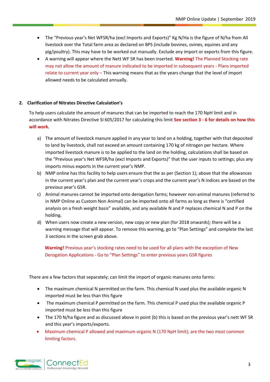- The "Previous year's Net WFSR/ha (excl Imports and Exports)" Kg N/Ha is the figure of N/ha from All livestock over the Total farm area as declared on BPS (include bovines, ovines, equines and any pig/poultry). This may have to be worked out manually. Exclude any import or exports from this figure.
- A warning will appear where the Nett WF SR has been inserted. **Warning!** The Planned Stocking rate may not allow the amount of manure indicated to be imported in subsequent years - Plans imported relate to current year only – This warning means that as the years change that the level of import allowed needs to be calculated annually.

# <span id="page-3-0"></span>**2. Clarification of Nitrates Directive Calculation's**

To help users calculate the amount of manures that can be imported to reach the 170 NpH limit and in accordance with Nitrates Directive SI 605/2017 for calculating this limit **See section 3 - 6 for details on how this will work.**

- a) The amount of livestock manure applied in any year to land on a holding, together with that deposited to land by livestock, shall not exceed an amount containing 170 kg of nitrogen per hectare. Where imported livestock manure is to be applied to the land on the holding, calculations shall be based on the "Previous year's Net WFSR/ha (excl Imports and Exports)" that the user inputs to settings; plus any imports minus exports in the current year's NMP.
- b) NMP online has this facility to help users ensure that the as per (Section 1); above that the allowances in the current year's plan and the current year's crops and the current year's N indices are based on the previous year's GSR.
- c) Animal manures cannot be imported onto derogation farms; however non-animal manures (referred to in NMP Online as Custom Non Animal) can be imported onto all farms as long as there is "certified analysis on a fresh weight basis" available, and any available N and P replaces chemical N and P on the holding.
- d) When users now create a new version, new copy or new plan (for 2018 onwards); there will be a warning message that will appear. To remove this warning, go to "Plan Settings" and complete the last 3 sections in the screen grab above.

**Warning!** Previous year's stocking rates need to be used for all plans with the exception of New Derogation Applications - Go to "Plan Settings" to enter previous years GSR figures

There are a few factors that separately; can limit the import of organic manures onto farms:

- The maximum chemical N permitted on the farm. This chemical N used plus the available organic N imported must be less than this figure
- The maximum chemical P permitted on the farm. This chemical P used plus the available organic P imported must be less than this figure
- The 170 N/ha figure and as discussed above in point (b) this is based on the previous year's nett WF SR and this year's imports/exports.
- Maximum chemical P allowed and maximum organic N (170 NpH limit); are the two most common limiting factors.

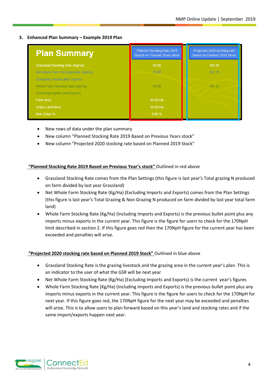### <span id="page-4-0"></span>**3. Enhanced Plan Summary – Example 2019 Plan**

| <b>Plan Summary</b>                  | Planned Stocking Rate 2019<br><b>Based on Previous Years stock</b> | Projected 2020 stocking rate<br>based on Planned 2019 Stock |
|--------------------------------------|--------------------------------------------------------------------|-------------------------------------------------------------|
| Grassland Stocking Rate (Kg/Ha):     | 90.00                                                              | 102.00                                                      |
| Net Whole Farm Stocking Rate (Kg/Ha) | 90.00                                                              | 101.78                                                      |
| (Excluding Imports and Exports)      |                                                                    |                                                             |
| Whole Farm Stocking Rate (Kg/Ha)     | 90.00                                                              | 103.56                                                      |
| (Including Imports and Exports)      |                                                                    |                                                             |
| Farm Area                            | 45.00 Ha                                                           |                                                             |
| <b>Grass Land Area</b>               | 45.00 Ha                                                           |                                                             |
| Non Grass %                          | 0.00%                                                              |                                                             |

- New rows of data under the plan summary
- New column "Planned Stocking Rate 2019 Based on Previous Years stock"
- New column "Projected 2020 stocking rate based on Planned 2019 Stock"

# **"Planned Stocking Rate 2019 Based on Previous Year's stock"** Outlined in red above

- Grassland Stocking Rate comes from the Plan Settings (this figure is last year's Total grazing N produced on farm divided by last year Grassland)
- Net Whole Farm Stocking Rate (Kg/Ha) (Excluding Imports and Exports) comes from the Plan Settings (this figure is last year's Total Grazing & Non Grazing N produced on farm divided by last year total farm land)
- Whole Farm Stocking Rate (Kg/Ha) (Including Imports and Exports) is the previous bullet point plus any imports minus exports in the current year. This figure is the figure for users to check for the 170NpH limit described in section 2. If this figure goes red then the 170NpH figure for the current year has been exceeded and penalties will arise.

# **"Projected 2020 stocking rate based on Planned 2019 Stock"** Outlined in blue above

- Grassland Stocking Rate is the grazing livestock and the grazing area in the current year's plan. This is an indicator to the user of what the GSR will be next year
- Net Whole Farm Stocking Rate (Kg/Ha) (Excluding Imports and Exports) is the current year's figures
- Whole Farm Stocking Rate (Kg/Ha) (Including Imports and Exports) is the previous bullet point plus any imports minus exports in the current year. This figure is the figure for users to check for the 170NpH for next year. If this figure goes red, the 170NpH figure for the next year may be exceeded and penalties will arise. This is to allow users to plan forward based on this year's land and stocking rates and if the same import/exports happen next year.

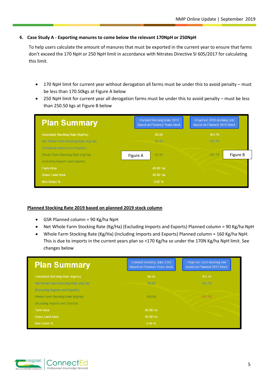# <span id="page-5-0"></span>**4. Case Study A - Exporting manures to come below the relevant 170NpH or 250NpH**

To help users calculate the amount of manures that must be exported in the current year to ensure that farms don't exceed the 170 NpH or 250 NpH limit in accordance with Nitrates Directive SI 605/2017 for calculating this limit.

- 170 NpH limit for current year without derogation all farms must be under this to avoid penalty must be less than 170.50kgs at Figure A below
- 250 NpH limit for current year all derogation farms must be under this to avoid penalty must be less than 250.50 kgs at Figure B below

| <b>Plan Summary</b>                     | Planned Stocking Rate 2019<br><b>Based on Previous Years stock</b> |          |        | Projected 2020 stocking rate<br>based on Planned 2019 Stock |          |
|-----------------------------------------|--------------------------------------------------------------------|----------|--------|-------------------------------------------------------------|----------|
| <b>Grassland Stocking Rate (Kg/Ha):</b> | 90.00                                                              |          | 101.78 |                                                             |          |
| Net Whole Farm Stocking Rate (Kg/Ha)    |                                                                    | 90.00    |        | 101.78                                                      |          |
| (Excluding Imports and Exports)         |                                                                    |          |        |                                                             |          |
| Whole Farm Stocking Rate (Kg/Ha)        | Figure A                                                           | 90.00    |        | 101.78                                                      | Figure B |
| (Including Imports and Exports)         |                                                                    |          |        |                                                             |          |
| Farm Area                               |                                                                    | 45.00 Ha |        |                                                             |          |
| <b>Grass Land Area</b>                  |                                                                    | 45.00 Ha |        |                                                             |          |
| Non Grass %                             |                                                                    | 0.00%    |        |                                                             |          |

#### **Planned Stocking Rate 2019 based on planned 2019 stock column**

- $\bullet$  GSR Planned column = 90 Kg/ha NpH
- Net Whole Farm Stocking Rate (Kg/Ha) (Excluding Imports and Exports) Planned column = 90 Kg/ha NpH
- Whole Farm Stocking Rate (Kg/Ha) (Including Imports and Exports) Planned column = 160 Kg/ha NpH. This is due to imports in the current years plan so <170 Kg/ha so under the 170N Kg/ha NpH limit. See changes below

| <b>Plan Summary</b>                  | Planned Stocking Rate 2019<br><b>Based on Previous Years stock</b> | Projected 2020 stocking rate<br>based on Planned 2019 Stock |
|--------------------------------------|--------------------------------------------------------------------|-------------------------------------------------------------|
| Grassland Stocking Rate (Kg/Ha):     | 90.00                                                              | 101.78                                                      |
| Net Whole Farm Stocking Rate (Kg/Ha) | 90.00                                                              | 101.78                                                      |
| (Excluding Imports and Exports)      |                                                                    |                                                             |
| Whole Farm Stocking Rate (Kg/Ha)     | 160.00                                                             | 171.78                                                      |
| (Including Imports and Exports)      |                                                                    |                                                             |
| Farm Area                            | 45 00 Ha                                                           |                                                             |
| <b>Grass Land Area</b>               | 45.00 Ha                                                           |                                                             |
| Non Grass %                          | 0.00%                                                              |                                                             |

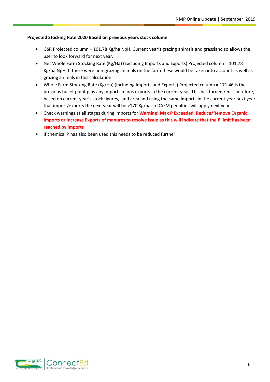# **Projected Stocking Rate 2020 Based on previous years stock column**

- GSR Projected column = 101.78 Kg/ha NpH. Current year's grazing animals and grassland so allows the user to look forward for next year.
- Net Whole Farm Stocking Rate (Kg/Ha) (Excluding Imports and Exports) Projected column = 101.78 Kg/ha NpH. If there were non-grazing animals on the farm these would be taken into account as well as grazing animals in this calculation.
- Whole Farm Stocking Rate (Kg/Ha) (Including Imports and Exports) Projected column = 171.46 is the previous bullet point plus any imports minus exports in the current year. This has turned red. Therefore, based on current year's stock figures, land area and using the same imports in the current year next year that import/exports the next year will be >170 Kg/ha so DAFM penalties will apply next year.
- Check warnings at all stages during imports for **Warning! Max P Exceeded, Reduce/Remove Organic Imports or Increase Exports of manures to resolve issue as this will indicate that the P limit has been reached by imports**
- If chemical P has also been used this needs to be reduced further

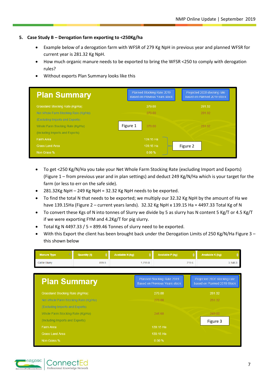# <span id="page-7-0"></span>**5. Case Study B – Derogation farm exporting to <250Kg/ha**

- Example below of a derogation farm with WFSR of 279 Kg NpH in previous year and planned WFSR for current year is 281.32 Kg NpH.
- How much organic manure needs to be exported to bring the WFSR <250 to comply with derogation rules?
- Without exports Plan Summary looks like this

| <b>Plan Summary</b>                  | Planned Stocking Rate 2019<br><b>Based on Previous Years stock</b> |           | Projected 2020 stocking rate<br>based on Planned 2019 Stock |        |  |
|--------------------------------------|--------------------------------------------------------------------|-----------|-------------------------------------------------------------|--------|--|
| Grassland Stocking Rate (Kg/Ha):     |                                                                    | 279.00    |                                                             | 281.32 |  |
| Net Whole Farm Stocking Rate (Kg/Ha) |                                                                    | 279.00    |                                                             | 281.32 |  |
| (Excluding Imports and Exports)      |                                                                    |           |                                                             |        |  |
| Whole Farm Stocking Rate (Kg/Ha)     | Figure 1                                                           | 279.00    |                                                             | 281.32 |  |
| (Including Imports and Exports)      |                                                                    |           |                                                             |        |  |
| Farm Area                            |                                                                    | 139.15 Ha |                                                             |        |  |
| <b>Grass Land Area</b>               |                                                                    | 139.15 Ha | Figure 2                                                    |        |  |
| Non Grass %                          |                                                                    | 0.00%     |                                                             |        |  |

- To get <250 Kg/N/Ha you take your Net Whole Farm Stocking Rate (excluding Import and Exports) (Figure 1 – from previous year and in plan settings) and deduct 249 Kg/N/Ha which is your target for the farm (or less to err on the safe side).
- 281.32Kg NpH 249 Kg NpH = 32.32 Kg NpH needs to be exported.
- To find the total N that needs to be exported; we multiply our 32.32 Kg NpH by the amount of Ha we have 139.15Ha (Figure 2 – current years lands). 32.32 Kg NpH x 139.15 Ha = 4497.33 Total Kg of N
- To convert these Kgs of N into tonnes of Slurry we divide by 5 as slurry has N content 5 Kg/T or 4.5 Kg/T if we were exporting FYM and 4.2Kg/T for pig slurry.
- Total Kg N 4497.33 / 5 = 899.46 Tonnes of slurry need to be exported.
- With this Export the client has been brought back under the Derogation Limits of 250 Kg/N/Ha Figure 3 this shown below

| <b>Manure Type</b>                   | <b>Quantity (t)</b> | <b>Available N (kg)</b> |         | <b>Available P (kg)</b>                                            |       | <b>Available K (kg)</b>                                     |  |  |
|--------------------------------------|---------------------|-------------------------|---------|--------------------------------------------------------------------|-------|-------------------------------------------------------------|--|--|
| Cattle Slurry                        | 899.5               |                         | 1,799.0 |                                                                    | 719.6 | 3,148.3                                                     |  |  |
|                                      |                     |                         |         |                                                                    |       |                                                             |  |  |
| <b>Plan Summary</b>                  |                     |                         |         | Planned Stocking Rate 2019<br><b>Based on Previous Years stock</b> |       | Projected 2020 stocking rate<br>based on Planned 2019 Stock |  |  |
| Grassland Stocking Rate (Kg/Ha):     |                     |                         |         | 279.00                                                             |       | 281.32                                                      |  |  |
| Net Whole Farm Stocking Rate (Kg/Ha) |                     |                         | 279.00  |                                                                    |       | 281.32                                                      |  |  |
| (Excluding Imports and Exports)      |                     |                         |         |                                                                    |       |                                                             |  |  |
| Whole Farm Stocking Rate (Kg/Ha)     |                     |                         |         | 246.68                                                             |       | 249.00                                                      |  |  |
| (Including Imports and Exports)      |                     |                         |         |                                                                    |       | Figure 3                                                    |  |  |
| Farm Area                            |                     |                         |         | 139.15 Ha                                                          |       |                                                             |  |  |
| <b>Grass Land Area</b>               |                     |                         |         | 139.15 Ha                                                          |       |                                                             |  |  |
| Non Grass %                          |                     |                         |         | 0.00%                                                              |       |                                                             |  |  |

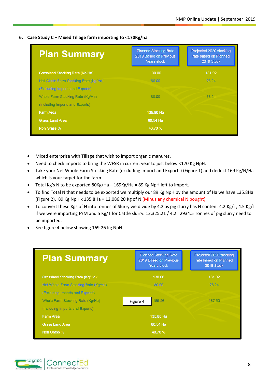# <span id="page-8-0"></span>**6. Case Study C – Mixed Tillage farm importing to <170Kg/ha**

| <b>Plan Summary</b>                  | <b>Planned Stocking Rate</b><br>2019 Based on Previous<br>Years stock | Projected 2020 stocking<br>rate based on Planned<br>2019 Stock |
|--------------------------------------|-----------------------------------------------------------------------|----------------------------------------------------------------|
| Grassland Stocking Rate (Kg/Ha):     | 130.00                                                                | 131.92                                                         |
| Net Whole Farm Stocking Rate (Kg/Ha) | 80.00                                                                 | 78.24                                                          |
| (Excluding Imports and Exports)      |                                                                       |                                                                |
| Whole Farm Stocking Rate (Kg/Ha)     | 80.00                                                                 | 78.24                                                          |
| (Including Imports and Exports)      |                                                                       |                                                                |
| Farm Area                            | 135,80 Ha                                                             |                                                                |
| <b>Grass Land Area</b>               | 80.54 Ha                                                              |                                                                |
| Non Grass %                          | 40.70 %                                                               |                                                                |

- Mixed enterprise with Tillage that wish to import organic manures.
- Need to check imports to bring the WFSR in current year to just below <170 Kg NpH.
- Take your Net Whole Farm Stocking Rate (excluding Import and Exports) (Figure 1) and deduct 169 Kg/N/Ha which is your target for the farm
- Total Kg's N to be exported 80Kg/Ha 169Kg/Ha = 89 Kg NpH left to import.
- To find Total N that needs to be exported we multiply our 89 Kg NpH by the amount of Ha we have 135.8Ha (Figure 2). 89 Kg NpH x 135.8Ha = 12,086.20 Kg of N (Minus any chemical N bought)
- To convert these Kgs of N into tonnes of Slurry we divide by 4.2 as pig slurry has N content 4.2 Kg/T, 4.5 Kg/T if we were importing FYM and 5 Kg/T for Cattle slurry. 12,325.21 / 4.2= 2934.5 Tonnes of pig slurry need to be imported.
- See figure 4 below showing 169.26 Kg NpH